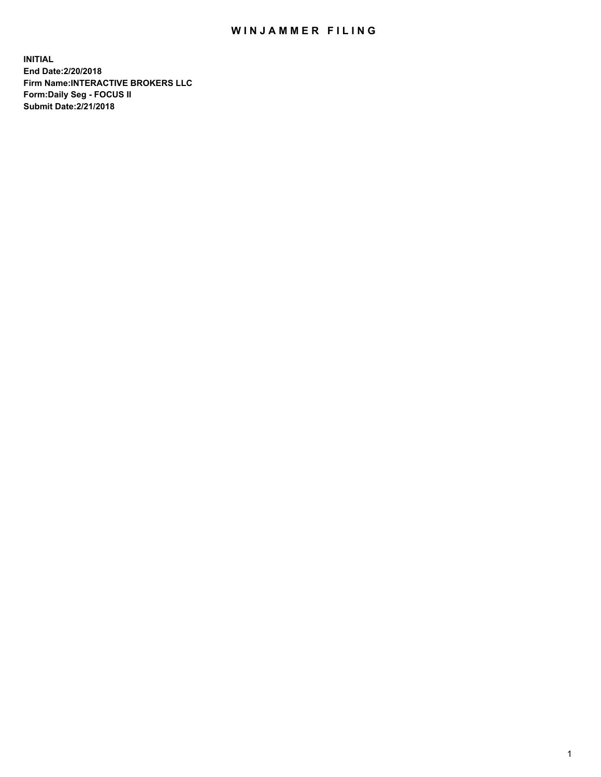## WIN JAMMER FILING

**INITIAL End Date:2/20/2018 Firm Name:INTERACTIVE BROKERS LLC Form:Daily Seg - FOCUS II Submit Date:2/21/2018**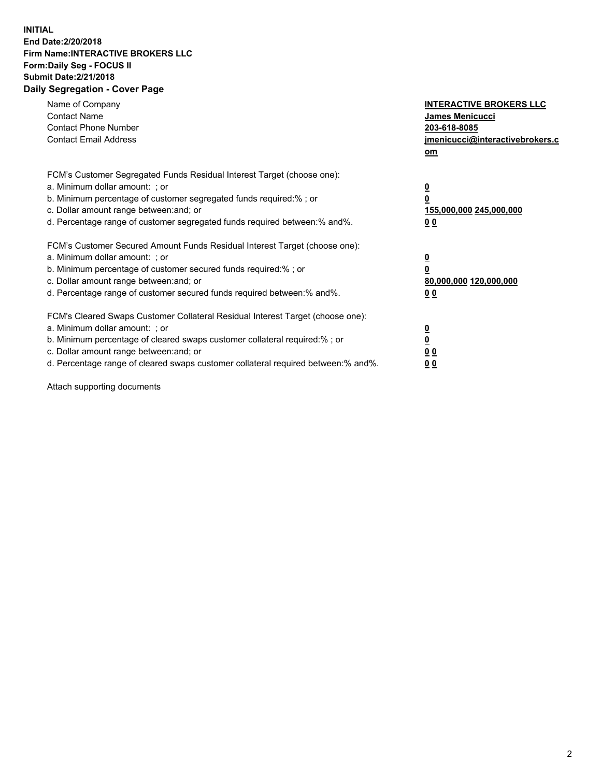## **INITIAL End Date:2/20/2018 Firm Name:INTERACTIVE BROKERS LLC Form:Daily Seg - FOCUS II Submit Date:2/21/2018 Daily Segregation - Cover Page**

| Name of Company<br><b>Contact Name</b><br><b>Contact Phone Number</b>                                                                                                                                                                                                                                                          | <b>INTERACTIVE BROKERS LLC</b><br><b>James Menicucci</b><br>203-618-8085                        |
|--------------------------------------------------------------------------------------------------------------------------------------------------------------------------------------------------------------------------------------------------------------------------------------------------------------------------------|-------------------------------------------------------------------------------------------------|
| <b>Contact Email Address</b>                                                                                                                                                                                                                                                                                                   | jmenicucci@interactivebrokers.c<br>om                                                           |
| FCM's Customer Segregated Funds Residual Interest Target (choose one):<br>a. Minimum dollar amount: ; or<br>b. Minimum percentage of customer segregated funds required:% ; or<br>c. Dollar amount range between: and; or<br>d. Percentage range of customer segregated funds required between:% and%.                         | $\overline{\mathbf{0}}$<br>$\overline{\mathbf{0}}$<br>155,000,000 245,000,000<br>0 <sub>0</sub> |
| FCM's Customer Secured Amount Funds Residual Interest Target (choose one):<br>a. Minimum dollar amount: ; or<br>b. Minimum percentage of customer secured funds required:%; or<br>c. Dollar amount range between: and; or<br>d. Percentage range of customer secured funds required between: % and %.                          | $\overline{\mathbf{0}}$<br>$\overline{\mathbf{0}}$<br>80,000,000 120,000,000<br>0 <sub>0</sub>  |
| FCM's Cleared Swaps Customer Collateral Residual Interest Target (choose one):<br>a. Minimum dollar amount: ; or<br>b. Minimum percentage of cleared swaps customer collateral required:% ; or<br>c. Dollar amount range between: and; or<br>d. Percentage range of cleared swaps customer collateral required between:% and%. | $\overline{\mathbf{0}}$<br>$\underline{\mathbf{0}}$<br>0 <sub>0</sub><br>0 <sup>0</sup>         |

Attach supporting documents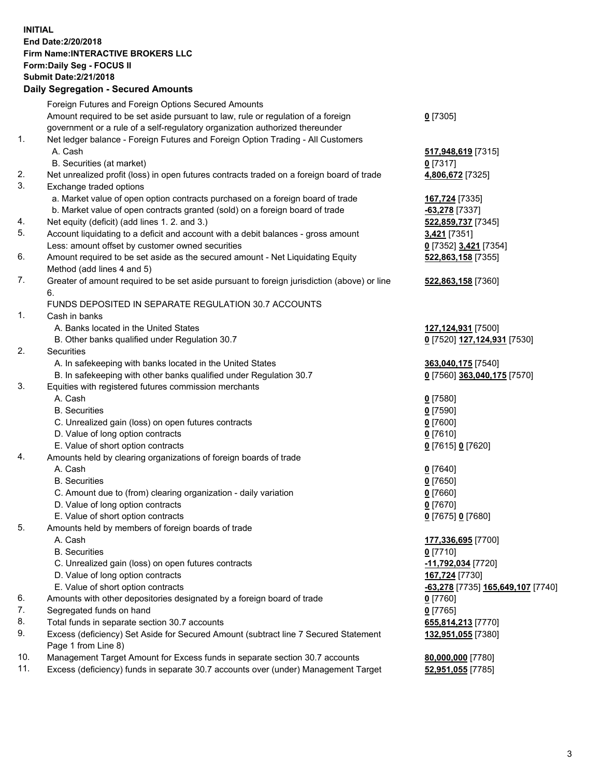## **INITIAL End Date:2/20/2018 Firm Name:INTERACTIVE BROKERS LLC Form:Daily Seg - FOCUS II Submit Date:2/21/2018 Daily Segregation - Secured Amounts**

|                | Daily Jegregation - Jeculed Aniounts                                                                       |                                                       |
|----------------|------------------------------------------------------------------------------------------------------------|-------------------------------------------------------|
|                | Foreign Futures and Foreign Options Secured Amounts                                                        |                                                       |
|                | Amount required to be set aside pursuant to law, rule or regulation of a foreign                           | $0$ [7305]                                            |
|                | government or a rule of a self-regulatory organization authorized thereunder                               |                                                       |
| 1.             | Net ledger balance - Foreign Futures and Foreign Option Trading - All Customers                            |                                                       |
|                | A. Cash                                                                                                    | 517,948,619 [7315]                                    |
|                | B. Securities (at market)                                                                                  | $0$ [7317]                                            |
| 2.             | Net unrealized profit (loss) in open futures contracts traded on a foreign board of trade                  | 4,806,672 [7325]                                      |
| 3.             | Exchange traded options                                                                                    |                                                       |
|                | a. Market value of open option contracts purchased on a foreign board of trade                             | 167,724 [7335]                                        |
|                | b. Market value of open contracts granted (sold) on a foreign board of trade                               | -63,278 [7337]                                        |
| 4.             | Net equity (deficit) (add lines 1.2. and 3.)                                                               | 522,859,737 [7345]                                    |
| 5.             | Account liquidating to a deficit and account with a debit balances - gross amount                          | 3,421 [7351]                                          |
|                | Less: amount offset by customer owned securities                                                           | 0 [7352] 3,421 [7354]                                 |
| 6.             | Amount required to be set aside as the secured amount - Net Liquidating Equity                             | 522,863,158 [7355]                                    |
|                | Method (add lines 4 and 5)                                                                                 |                                                       |
| 7.             | Greater of amount required to be set aside pursuant to foreign jurisdiction (above) or line                | 522,863,158 [7360]                                    |
|                | 6.                                                                                                         |                                                       |
|                | FUNDS DEPOSITED IN SEPARATE REGULATION 30.7 ACCOUNTS                                                       |                                                       |
| 1 <sub>1</sub> | Cash in banks                                                                                              |                                                       |
|                | A. Banks located in the United States                                                                      | 127,124,931 [7500]                                    |
|                | B. Other banks qualified under Regulation 30.7                                                             | 0 [7520] 127,124,931 [7530]                           |
| 2.             | Securities                                                                                                 |                                                       |
|                | A. In safekeeping with banks located in the United States                                                  | 363,040,175 [7540]                                    |
|                | B. In safekeeping with other banks qualified under Regulation 30.7                                         | 0 [7560] 363,040,175 [7570]                           |
| 3.             | Equities with registered futures commission merchants                                                      |                                                       |
|                | A. Cash                                                                                                    | $0$ [7580]                                            |
|                | <b>B.</b> Securities                                                                                       | $0$ [7590]                                            |
|                | C. Unrealized gain (loss) on open futures contracts                                                        | $0$ [7600]                                            |
|                | D. Value of long option contracts                                                                          | $0$ [7610]                                            |
|                | E. Value of short option contracts                                                                         | 0 [7615] 0 [7620]                                     |
| 4.             | Amounts held by clearing organizations of foreign boards of trade                                          |                                                       |
|                | A. Cash                                                                                                    | $0$ [7640]                                            |
|                | <b>B.</b> Securities                                                                                       | $0$ [7650]                                            |
|                | C. Amount due to (from) clearing organization - daily variation                                            | $0$ [7660]                                            |
|                | D. Value of long option contracts                                                                          | $0$ [7670]                                            |
|                | E. Value of short option contracts                                                                         | 0 [7675] 0 [7680]                                     |
| 5.             | Amounts held by members of foreign boards of trade                                                         |                                                       |
|                | A. Cash                                                                                                    | 177,336,695 [7700]                                    |
|                | <b>B.</b> Securities                                                                                       | $0$ [7710]                                            |
|                | C. Unrealized gain (loss) on open futures contracts                                                        | -11,792,034 [7720]                                    |
|                | D. Value of long option contracts                                                                          | 167,724 [7730]                                        |
|                | E. Value of short option contracts                                                                         | <mark>-63,278</mark> [7735] <b>165,649,107</b> [7740] |
| 6.             | Amounts with other depositories designated by a foreign board of trade                                     | $0$ [7760]                                            |
| 7.             | Segregated funds on hand                                                                                   | $0$ [7765]                                            |
| 8.             | Total funds in separate section 30.7 accounts                                                              | 655,814,213 [7770]                                    |
| 9.             | Excess (deficiency) Set Aside for Secured Amount (subtract line 7 Secured Statement<br>Page 1 from Line 8) | 132,951,055 [7380]                                    |
| 10.            | Management Target Amount for Excess funds in separate section 30.7 accounts                                | 80,000,000 [7780]                                     |
| 11.            | Excess (deficiency) funds in separate 30.7 accounts over (under) Management Target                         | 52,951,055 [7785]                                     |
|                |                                                                                                            |                                                       |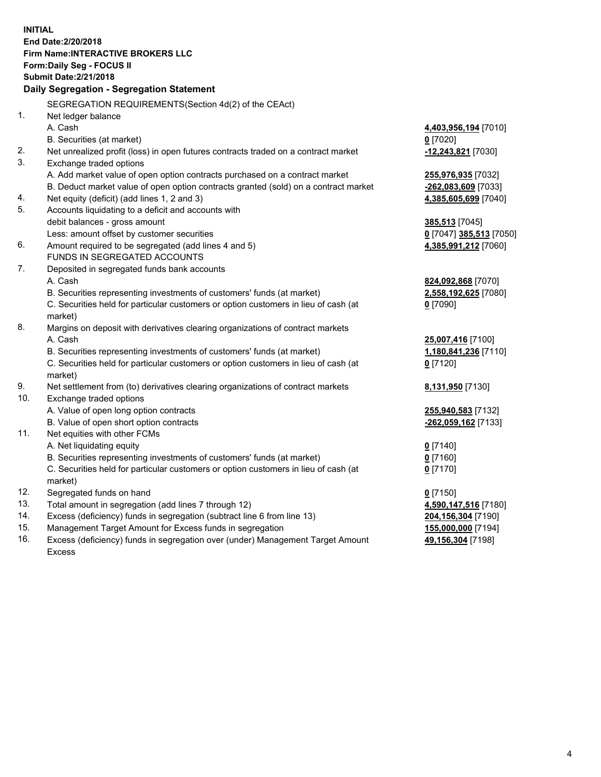**INITIAL End Date:2/20/2018 Firm Name:INTERACTIVE BROKERS LLC Form:Daily Seg - FOCUS II Submit Date:2/21/2018 Daily Segregation - Segregation Statement** SEGREGATION REQUIREMENTS(Section 4d(2) of the CEAct) 1. Net ledger balance A. Cash **4,403,956,194** [7010] B. Securities (at market) **0** [7020] 2. Net unrealized profit (loss) in open futures contracts traded on a contract market **-12,243,821** [7030] 3. Exchange traded options A. Add market value of open option contracts purchased on a contract market **255,976,935** [7032] B. Deduct market value of open option contracts granted (sold) on a contract market **-262,083,609** [7033] 4. Net equity (deficit) (add lines 1, 2 and 3) **4,385,605,699** [7040] 5. Accounts liquidating to a deficit and accounts with debit balances - gross amount **385,513** [7045] Less: amount offset by customer securities **0** [7047] **385,513** [7050] 6. Amount required to be segregated (add lines 4 and 5) **4,385,991,212** [7060] FUNDS IN SEGREGATED ACCOUNTS 7. Deposited in segregated funds bank accounts A. Cash **824,092,868** [7070] B. Securities representing investments of customers' funds (at market) **2,558,192,625** [7080] C. Securities held for particular customers or option customers in lieu of cash (at market) **0** [7090] 8. Margins on deposit with derivatives clearing organizations of contract markets A. Cash **25,007,416** [7100] B. Securities representing investments of customers' funds (at market) **1,180,841,236** [7110] C. Securities held for particular customers or option customers in lieu of cash (at market) **0** [7120] 9. Net settlement from (to) derivatives clearing organizations of contract markets **8,131,950** [7130] 10. Exchange traded options A. Value of open long option contracts **255,940,583** [7132] B. Value of open short option contracts **-262,059,162** [7133] 11. Net equities with other FCMs A. Net liquidating equity **0** [7140] B. Securities representing investments of customers' funds (at market) **0** [7160] C. Securities held for particular customers or option customers in lieu of cash (at market) **0** [7170] 12. Segregated funds on hand **0** [7150] 13. Total amount in segregation (add lines 7 through 12) **4,590,147,516** [7180] 14. Excess (deficiency) funds in segregation (subtract line 6 from line 13) **204,156,304** [7190] 15. Management Target Amount for Excess funds in segregation **155,000,000** [7194] **49,156,304** [7198]

16. Excess (deficiency) funds in segregation over (under) Management Target Amount Excess